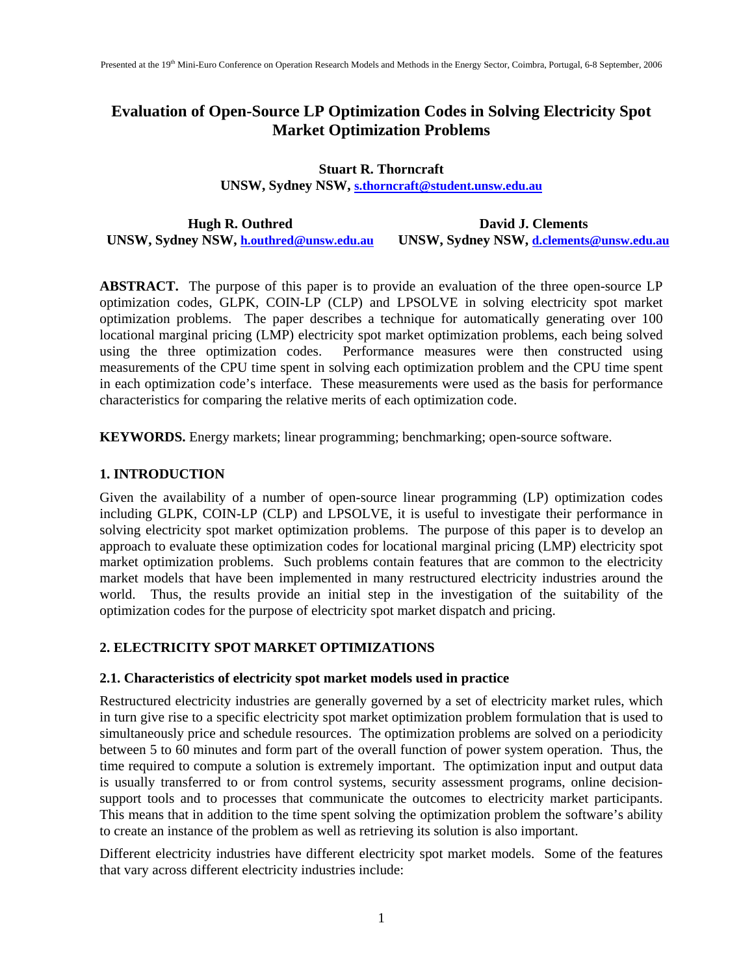# **Evaluation of Open-Source LP Optimization Codes in Solving Electricity Spot Market Optimization Problems**

## **Stuart R. Thorncraft UNSW, Sydney NSW, s.thorncraft@student.unsw.edu.au**

**Hugh R. Outhred UNSW, Sydney NSW, h.outhred@unsw.edu.au David J. Clements UNSW, Sydney NSW, d.clements@unsw.edu.au** 

**ABSTRACT.** The purpose of this paper is to provide an evaluation of the three open-source LP optimization codes, GLPK, COIN-LP (CLP) and LPSOLVE in solving electricity spot market optimization problems. The paper describes a technique for automatically generating over 100 locational marginal pricing (LMP) electricity spot market optimization problems, each being solved using the three optimization codes. Performance measures were then constructed using measurements of the CPU time spent in solving each optimization problem and the CPU time spent in each optimization code's interface. These measurements were used as the basis for performance characteristics for comparing the relative merits of each optimization code.

**KEYWORDS.** Energy markets; linear programming; benchmarking; open-source software.

## **1. INTRODUCTION**

Given the availability of a number of open-source linear programming (LP) optimization codes including GLPK, COIN-LP (CLP) and LPSOLVE, it is useful to investigate their performance in solving electricity spot market optimization problems. The purpose of this paper is to develop an approach to evaluate these optimization codes for locational marginal pricing (LMP) electricity spot market optimization problems. Such problems contain features that are common to the electricity market models that have been implemented in many restructured electricity industries around the world. Thus, the results provide an initial step in the investigation of the suitability of the optimization codes for the purpose of electricity spot market dispatch and pricing.

## **2. ELECTRICITY SPOT MARKET OPTIMIZATIONS**

### **2.1. Characteristics of electricity spot market models used in practice**

Restructured electricity industries are generally governed by a set of electricity market rules, which in turn give rise to a specific electricity spot market optimization problem formulation that is used to simultaneously price and schedule resources. The optimization problems are solved on a periodicity between 5 to 60 minutes and form part of the overall function of power system operation. Thus, the time required to compute a solution is extremely important. The optimization input and output data is usually transferred to or from control systems, security assessment programs, online decisionsupport tools and to processes that communicate the outcomes to electricity market participants. This means that in addition to the time spent solving the optimization problem the software's ability to create an instance of the problem as well as retrieving its solution is also important.

Different electricity industries have different electricity spot market models. Some of the features that vary across different electricity industries include: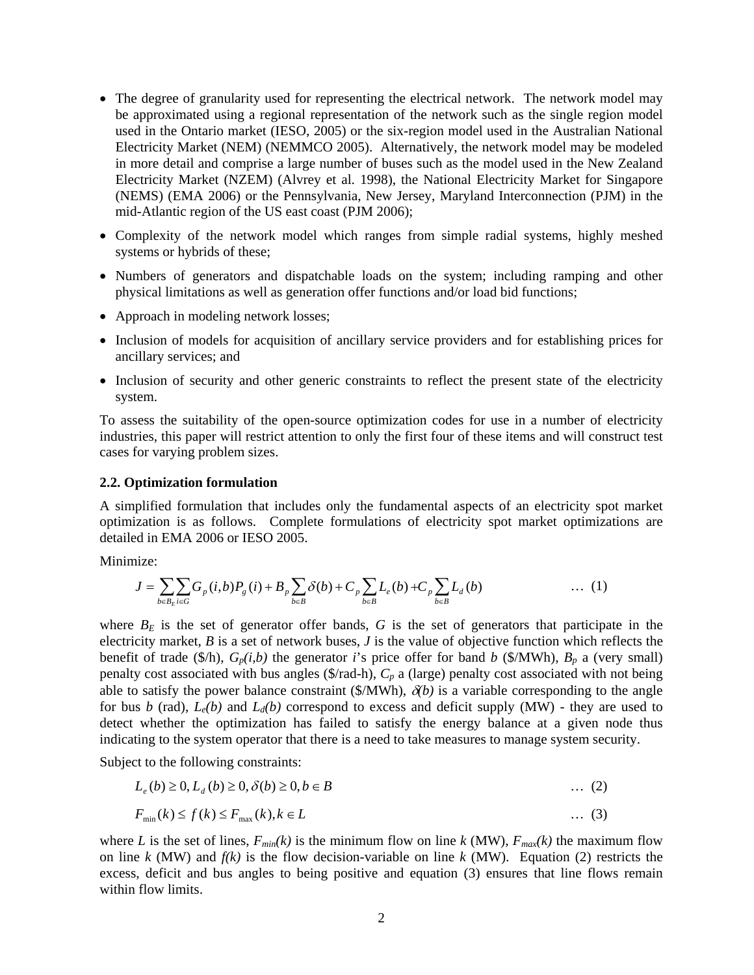- The degree of granularity used for representing the electrical network. The network model may be approximated using a regional representation of the network such as the single region model used in the Ontario market (IESO, 2005) or the six-region model used in the Australian National Electricity Market (NEM) (NEMMCO 2005). Alternatively, the network model may be modeled in more detail and comprise a large number of buses such as the model used in the New Zealand Electricity Market (NZEM) (Alvrey et al. 1998), the National Electricity Market for Singapore (NEMS) (EMA 2006) or the Pennsylvania, New Jersey, Maryland Interconnection (PJM) in the mid-Atlantic region of the US east coast (PJM 2006);
- Complexity of the network model which ranges from simple radial systems, highly meshed systems or hybrids of these;
- Numbers of generators and dispatchable loads on the system; including ramping and other physical limitations as well as generation offer functions and/or load bid functions;
- Approach in modeling network losses;
- Inclusion of models for acquisition of ancillary service providers and for establishing prices for ancillary services; and
- Inclusion of security and other generic constraints to reflect the present state of the electricity system.

To assess the suitability of the open-source optimization codes for use in a number of electricity industries, this paper will restrict attention to only the first four of these items and will construct test cases for varying problem sizes.

#### **2.2. Optimization formulation**

A simplified formulation that includes only the fundamental aspects of an electricity spot market optimization is as follows. Complete formulations of electricity spot market optimizations are detailed in EMA 2006 or IESO 2005.

Minimize:

$$
J = \sum_{b \in B_E} \sum_{i \in G} G_p(i, b) P_g(i) + B_p \sum_{b \in B} \delta(b) + C_p \sum_{b \in B} L_e(b) + C_p \sum_{b \in B} L_d(b) \qquad \qquad \dots (1)
$$

where  $B_E$  is the set of generator offer bands,  $G$  is the set of generators that participate in the electricity market, *B* is a set of network buses, *J* is the value of objective function which reflects the benefit of trade (\$/h),  $G_p(i,b)$  the generator *i*'s price offer for band *b* (\$/MWh),  $B_p$  a (very small) penalty cost associated with bus angles (\$/rad-h), *Cp* a (large) penalty cost associated with not being able to satisfy the power balance constraint (\$/MWh),  $\delta(b)$  is a variable corresponding to the angle for bus *b* (rad),  $L_e(b)$  and  $L_d(b)$  correspond to excess and deficit supply (MW) - they are used to detect whether the optimization has failed to satisfy the energy balance at a given node thus indicating to the system operator that there is a need to take measures to manage system security.

Subject to the following constraints:

$$
L_e(b) \ge 0, L_d(b) \ge 0, \delta(b) \ge 0, b \in B \tag{2}
$$

$$
F_{\min}(k) \le f(k) \le F_{\max}(k), k \in L \tag{3}
$$

where *L* is the set of lines,  $F_{min}(k)$  is the minimum flow on line *k* (MW),  $F_{max}(k)$  the maximum flow on line *k* (MW) and *f(k)* is the flow decision-variable on line *k* (MW). Equation (2) restricts the excess, deficit and bus angles to being positive and equation (3) ensures that line flows remain within flow limits.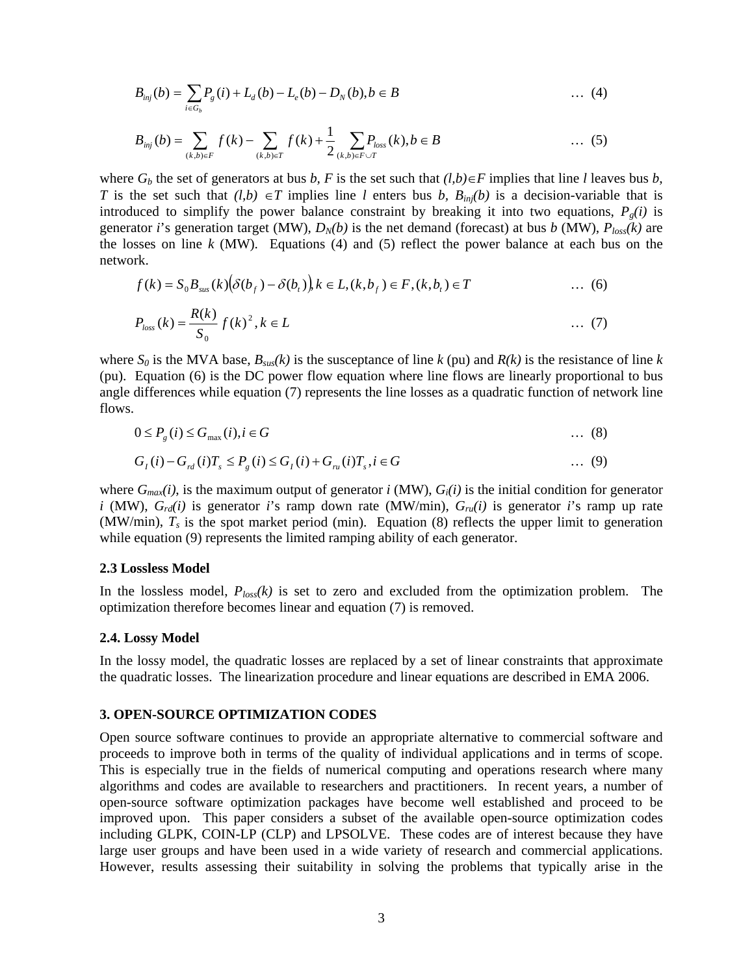$$
B_{\text{inj}}(b) = \sum_{i \in G_b} P_g(i) + L_d(b) - L_e(b) - D_N(b), b \in B \tag{4}
$$

$$
B_{\text{inj}}(b) = \sum_{(k,b)\in F} f(k) - \sum_{(k,b)\in T} f(k) + \frac{1}{2} \sum_{(k,b)\in F \cup T} P_{\text{loss}}(k), b \in B \tag{5}
$$

where  $G_b$  the set of generators at bus *b*, *F* is the set such that  $(l,b) \in F$  implies that line *l* leaves bus *b*, *T* is the set such that  $(l,b) \in T$  implies line *l* enters bus *b*,  $B_{inj}(b)$  is a decision-variable that is introduced to simplify the power balance constraint by breaking it into two equations,  $P_g(i)$  is generator *i*'s generation target (MW),  $D_N(b)$  is the net demand (forecast) at bus *b* (MW),  $P_{loss}(k)$  are the losses on line  $k$  (MW). Equations (4) and (5) reflect the power balance at each bus on the network.

$$
f(k) = S_0 B_{\text{sus}}(k) (\delta(b_f) - \delta(b_t)) k \in L, (k, b_f) \in F, (k, b_t) \in T
$$
 ... (6)  

$$
P_{\text{loss}}(k) = \frac{R(k)}{s} f(k)^2, k \in L
$$
 ... (7)

$$
P_{loss}(k) = \frac{K(k)}{S_0} f(k)^2, k \in L
$$
 (7)

where  $S_0$  is the MVA base,  $B_{\text{sus}}(k)$  is the susceptance of line  $k$  (pu) and  $R(k)$  is the resistance of line  $k$ (pu). Equation (6) is the DC power flow equation where line flows are linearly proportional to bus angle differences while equation (7) represents the line losses as a quadratic function of network line flows.

$$
0 \le P_g(i) \le G_{\max}(i), i \in G
$$
 (8)

$$
G_{I}(i) - G_{rd}(i)T_{s} \le P_{g}(i) \le G_{I}(i) + G_{rd}(i)T_{s}, i \in G
$$
\n(9)

where  $G_{max}(i)$ , is the maximum output of generator *i* (MW),  $G_i(i)$  is the initial condition for generator *i* (MW),  $G_{rd}(i)$  is generator *i*'s ramp down rate (MW/min),  $G_{ru}(i)$  is generator *i*'s ramp up rate (MW/min),  $T_s$  is the spot market period (min). Equation (8) reflects the upper limit to generation while equation (9) represents the limited ramping ability of each generator.

#### **2.3 Lossless Model**

In the lossless model, *Ploss(k)* is set to zero and excluded from the optimization problem. The optimization therefore becomes linear and equation (7) is removed.

#### **2.4. Lossy Model**

In the lossy model, the quadratic losses are replaced by a set of linear constraints that approximate the quadratic losses. The linearization procedure and linear equations are described in EMA 2006.

#### **3. OPEN-SOURCE OPTIMIZATION CODES**

Open source software continues to provide an appropriate alternative to commercial software and proceeds to improve both in terms of the quality of individual applications and in terms of scope. This is especially true in the fields of numerical computing and operations research where many algorithms and codes are available to researchers and practitioners. In recent years, a number of open-source software optimization packages have become well established and proceed to be improved upon. This paper considers a subset of the available open-source optimization codes including GLPK, COIN-LP (CLP) and LPSOLVE. These codes are of interest because they have large user groups and have been used in a wide variety of research and commercial applications. However, results assessing their suitability in solving the problems that typically arise in the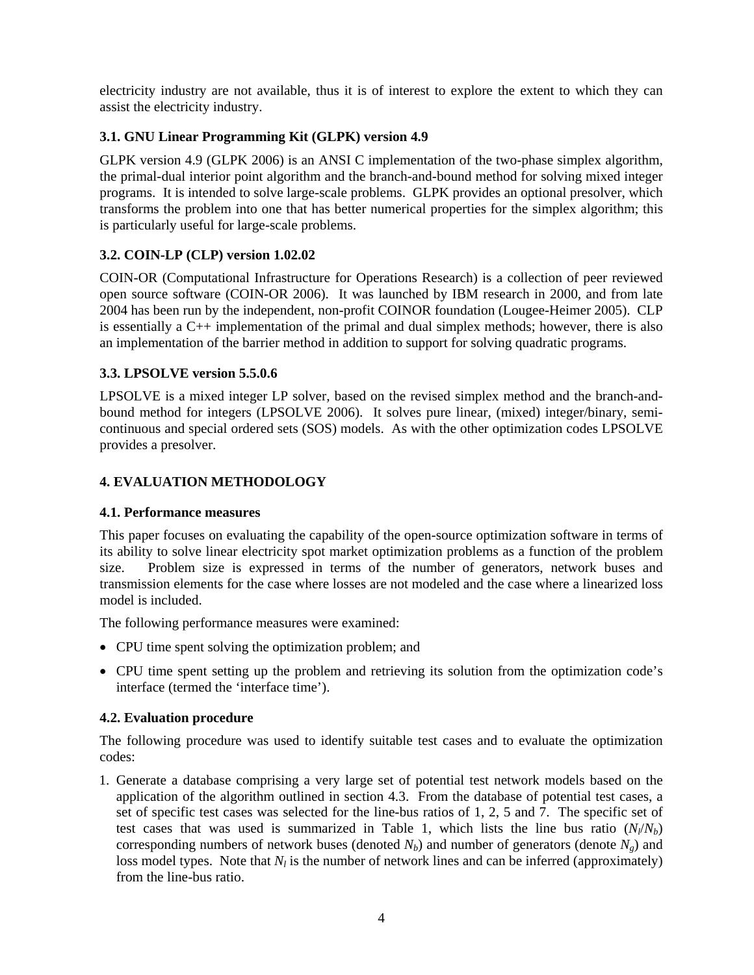electricity industry are not available, thus it is of interest to explore the extent to which they can assist the electricity industry.

## **3.1. GNU Linear Programming Kit (GLPK) version 4.9**

GLPK version 4.9 (GLPK 2006) is an ANSI C implementation of the two-phase simplex algorithm, the primal-dual interior point algorithm and the branch-and-bound method for solving mixed integer programs. It is intended to solve large-scale problems. GLPK provides an optional presolver, which transforms the problem into one that has better numerical properties for the simplex algorithm; this is particularly useful for large-scale problems.

## **3.2. COIN-LP (CLP) version 1.02.02**

COIN-OR (Computational Infrastructure for Operations Research) is a collection of peer reviewed open source software (COIN-OR 2006). It was launched by IBM research in 2000, and from late 2004 has been run by the independent, non-profit COINOR foundation (Lougee-Heimer 2005). CLP is essentially a C++ implementation of the primal and dual simplex methods; however, there is also an implementation of the barrier method in addition to support for solving quadratic programs.

## **3.3. LPSOLVE version 5.5.0.6**

LPSOLVE is a mixed integer LP solver, based on the revised simplex method and the branch-andbound method for integers (LPSOLVE 2006). It solves pure linear, (mixed) integer/binary, semicontinuous and special ordered sets (SOS) models. As with the other optimization codes LPSOLVE provides a presolver.

## **4. EVALUATION METHODOLOGY**

## **4.1. Performance measures**

This paper focuses on evaluating the capability of the open-source optimization software in terms of its ability to solve linear electricity spot market optimization problems as a function of the problem size. Problem size is expressed in terms of the number of generators, network buses and transmission elements for the case where losses are not modeled and the case where a linearized loss model is included.

The following performance measures were examined:

- CPU time spent solving the optimization problem; and
- CPU time spent setting up the problem and retrieving its solution from the optimization code's interface (termed the 'interface time').

## **4.2. Evaluation procedure**

The following procedure was used to identify suitable test cases and to evaluate the optimization codes:

1. Generate a database comprising a very large set of potential test network models based on the application of the algorithm outlined in section 4.3. From the database of potential test cases, a set of specific test cases was selected for the line-bus ratios of 1, 2, 5 and 7. The specific set of test cases that was used is summarized in Table 1, which lists the line bus ratio  $(N_l/N_b)$ corresponding numbers of network buses (denoted  $N_b$ ) and number of generators (denote  $N_g$ ) and loss model types. Note that  $N_l$  is the number of network lines and can be inferred (approximately) from the line-bus ratio.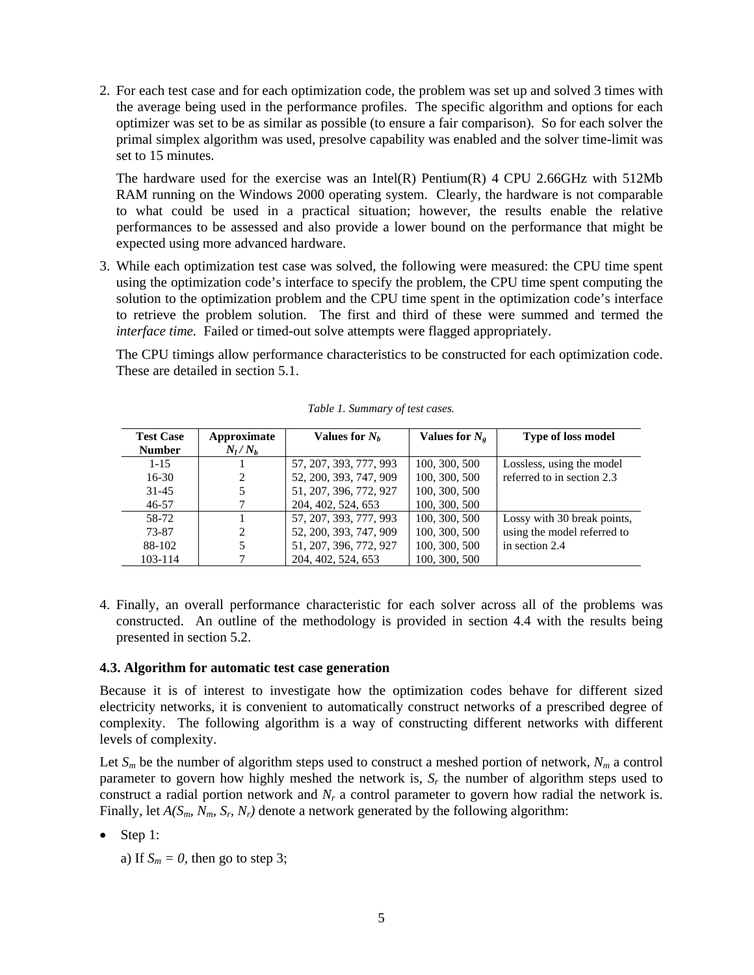2. For each test case and for each optimization code, the problem was set up and solved 3 times with the average being used in the performance profiles. The specific algorithm and options for each optimizer was set to be as similar as possible (to ensure a fair comparison). So for each solver the primal simplex algorithm was used, presolve capability was enabled and the solver time-limit was set to 15 minutes.

The hardware used for the exercise was an Intel(R) Pentium(R) 4 CPU 2.66GHz with 512Mb RAM running on the Windows 2000 operating system. Clearly, the hardware is not comparable to what could be used in a practical situation; however, the results enable the relative performances to be assessed and also provide a lower bound on the performance that might be expected using more advanced hardware.

3. While each optimization test case was solved, the following were measured: the CPU time spent using the optimization code's interface to specify the problem, the CPU time spent computing the solution to the optimization problem and the CPU time spent in the optimization code's interface to retrieve the problem solution. The first and third of these were summed and termed the *interface time.* Failed or timed-out solve attempts were flagged appropriately.

The CPU timings allow performance characteristics to be constructed for each optimization code. These are detailed in section 5.1.

| <b>Test Case</b> | Approximate    | Values for $N_h$       | Values for $N_e$ | <b>Type of loss model</b>   |
|------------------|----------------|------------------------|------------------|-----------------------------|
| <b>Number</b>    | $N_l/N_h$      |                        |                  |                             |
| $1 - 15$         |                | 57, 207, 393, 777, 993 | 100, 300, 500    | Lossless, using the model   |
| $16-30$          | $\mathfrak{D}$ | 52, 200, 393, 747, 909 | 100, 300, 500    | referred to in section 2.3  |
| $31 - 45$        |                | 51, 207, 396, 772, 927 | 100, 300, 500    |                             |
| $46 - 57$        |                | 204, 402, 524, 653     | 100, 300, 500    |                             |
| 58-72            |                | 57, 207, 393, 777, 993 | 100, 300, 500    | Lossy with 30 break points, |
| 73-87            | $\mathfrak{D}$ | 52, 200, 393, 747, 909 | 100, 300, 500    | using the model referred to |
| 88-102           | 5.             | 51, 207, 396, 772, 927 | 100, 300, 500    | in section 2.4              |
| $103 - 114$      |                | 204, 402, 524, 653     | 100, 300, 500    |                             |

*Table 1. Summary of test cases.* 

4. Finally, an overall performance characteristic for each solver across all of the problems was constructed. An outline of the methodology is provided in section 4.4 with the results being presented in section 5.2.

#### **4.3. Algorithm for automatic test case generation**

Because it is of interest to investigate how the optimization codes behave for different sized electricity networks, it is convenient to automatically construct networks of a prescribed degree of complexity. The following algorithm is a way of constructing different networks with different levels of complexity.

Let  $S_m$  be the number of algorithm steps used to construct a meshed portion of network,  $N_m$  a control parameter to govern how highly meshed the network is, *Sr* the number of algorithm steps used to construct a radial portion network and *Nr* a control parameter to govern how radial the network is. Finally, let *A(Sm, Nm, Sr, Nr)* denote a network generated by the following algorithm:

• Step 1:

a) If  $S_m = 0$ , then go to step 3;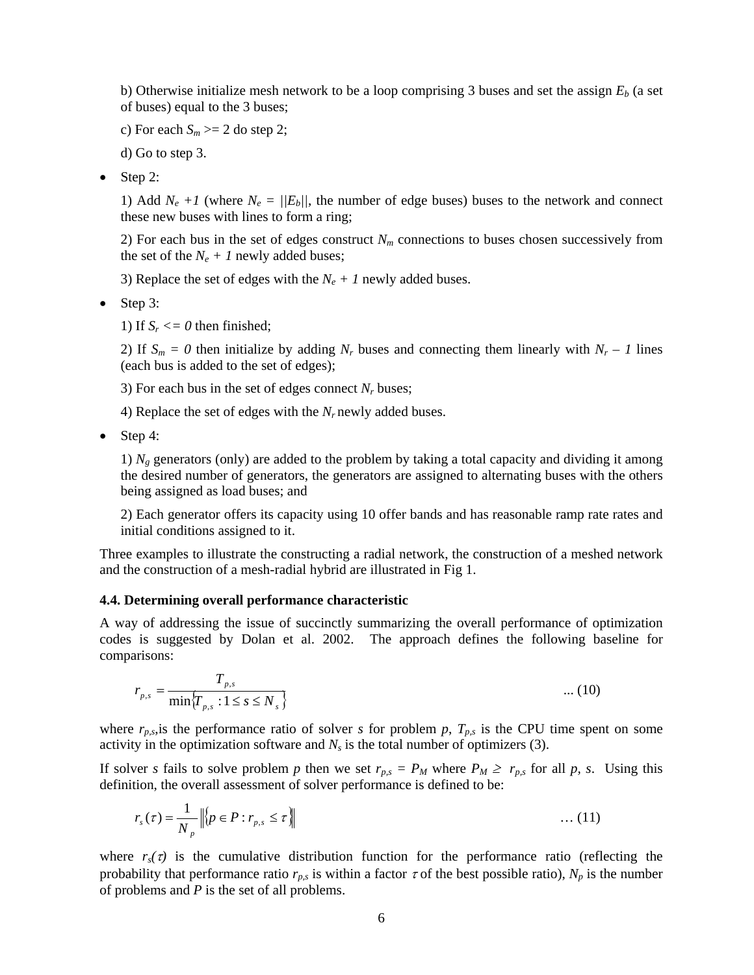b) Otherwise initialize mesh network to be a loop comprising 3 buses and set the assign  $E<sub>b</sub>$  (a set of buses) equal to the 3 buses;

c) For each  $S_m \geq 2$  do step 2;

d) Go to step 3.

• Step 2:

1) Add  $N_e$  +1 (where  $N_e = ||E_b||$ , the number of edge buses) buses to the network and connect these new buses with lines to form a ring;

2) For each bus in the set of edges construct  $N_m$  connections to buses chosen successively from the set of the  $N_e + 1$  newly added buses;

3) Replace the set of edges with the  $N_e + 1$  newly added buses.

• Step 3:

1) If  $S_r \leq 0$  then finished;

2) If  $S_m = 0$  then initialize by adding  $N_r$  buses and connecting them linearly with  $N_r - 1$  lines (each bus is added to the set of edges);

3) For each bus in the set of edges connect  $N_r$  buses;

4) Replace the set of edges with the  $N_r$  newly added buses.

• Step 4:

1)  $N_g$  generators (only) are added to the problem by taking a total capacity and dividing it among the desired number of generators, the generators are assigned to alternating buses with the others being assigned as load buses; and

2) Each generator offers its capacity using 10 offer bands and has reasonable ramp rate rates and initial conditions assigned to it.

Three examples to illustrate the constructing a radial network, the construction of a meshed network and the construction of a mesh-radial hybrid are illustrated in Fig 1.

#### **4.4. Determining overall performance characteristic**

A way of addressing the issue of succinctly summarizing the overall performance of optimization codes is suggested by Dolan et al. 2002. The approach defines the following baseline for comparisons:

$$
r_{p,s} = \frac{T_{p,s}}{\min\{T_{p,s} : 1 \le s \le N_s\}} \tag{10}
$$

where  $r_{p,s}$ , is the performance ratio of solver *s* for problem *p*,  $T_{p,s}$  is the CPU time spent on some activity in the optimization software and  $N_s$  is the total number of optimizers (3).

If solver *s* fails to solve problem *p* then we set  $r_{p,s} = P_M$  where  $P_M \ge r_{p,s}$  for all *p, s*. Using this definition, the overall assessment of solver performance is defined to be:

$$
r_s(\tau) = \frac{1}{N_p} \left\| \left\{ p \in P : r_{p,s} \leq \tau \right\} \right\| \tag{11}
$$

where  $r_s(\tau)$  is the cumulative distribution function for the performance ratio (reflecting the probability that performance ratio  $r_{p,s}$  is within a factor  $\tau$  of the best possible ratio),  $N_p$  is the number of problems and *P* is the set of all problems.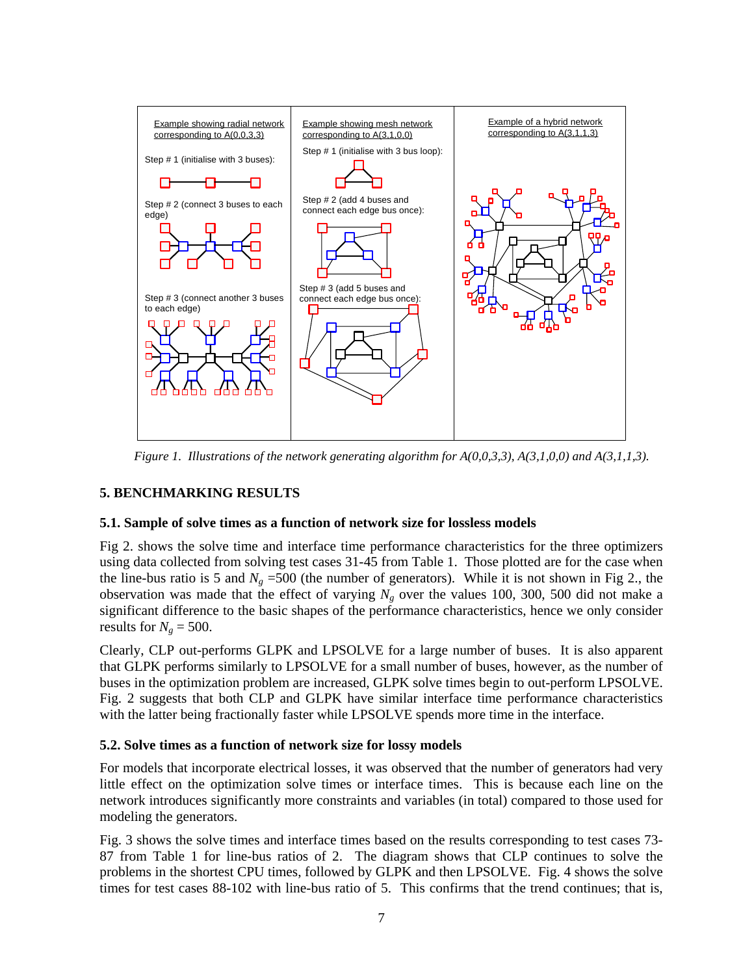

*Figure 1. Illustrations of the network generating algorithm for A(0,0,3,3), A(3,1,0,0) and A(3,1,1,3).*

### **5. BENCHMARKING RESULTS**

### **5.1. Sample of solve times as a function of network size for lossless models**

Fig 2. shows the solve time and interface time performance characteristics for the three optimizers using data collected from solving test cases 31-45 from Table 1. Those plotted are for the case when the line-bus ratio is 5 and  $N_g$  =500 (the number of generators). While it is not shown in Fig 2., the observation was made that the effect of varying *Ng* over the values 100, 300, 500 did not make a significant difference to the basic shapes of the performance characteristics, hence we only consider results for  $N_g = 500$ .

Clearly, CLP out-performs GLPK and LPSOLVE for a large number of buses. It is also apparent that GLPK performs similarly to LPSOLVE for a small number of buses, however, as the number of buses in the optimization problem are increased, GLPK solve times begin to out-perform LPSOLVE. Fig. 2 suggests that both CLP and GLPK have similar interface time performance characteristics with the latter being fractionally faster while LPSOLVE spends more time in the interface.

### **5.2. Solve times as a function of network size for lossy models**

For models that incorporate electrical losses, it was observed that the number of generators had very little effect on the optimization solve times or interface times. This is because each line on the network introduces significantly more constraints and variables (in total) compared to those used for modeling the generators.

Fig. 3 shows the solve times and interface times based on the results corresponding to test cases 73- 87 from Table 1 for line-bus ratios of 2. The diagram shows that CLP continues to solve the problems in the shortest CPU times, followed by GLPK and then LPSOLVE. Fig. 4 shows the solve times for test cases 88-102 with line-bus ratio of 5. This confirms that the trend continues; that is,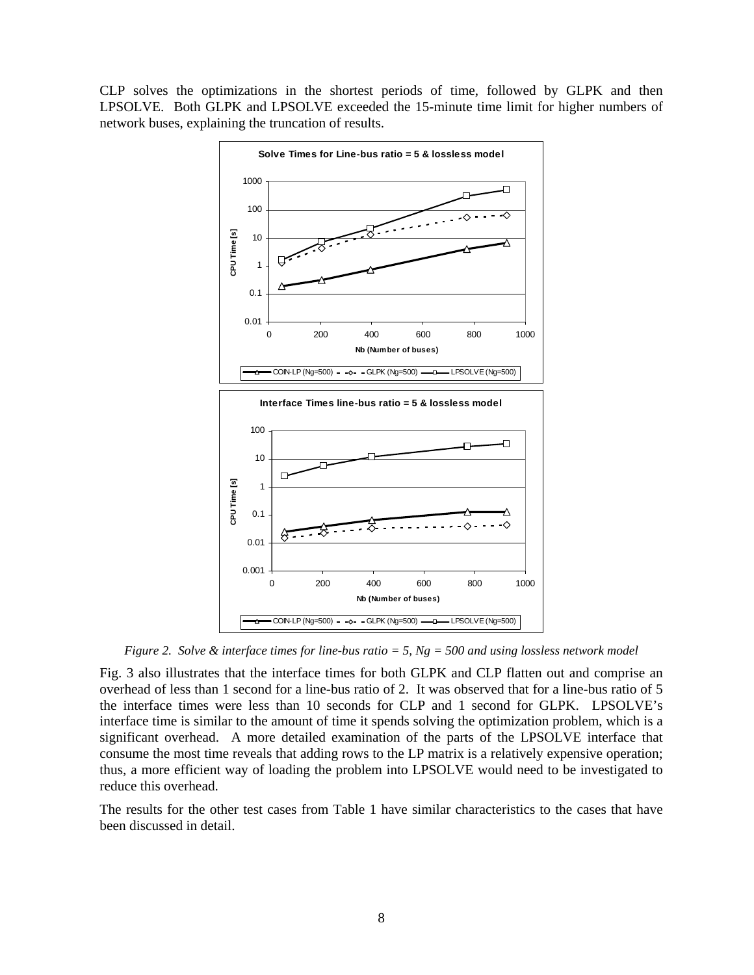CLP solves the optimizations in the shortest periods of time, followed by GLPK and then LPSOLVE. Both GLPK and LPSOLVE exceeded the 15-minute time limit for higher numbers of network buses, explaining the truncation of results.



*Figure 2. Solve & interface times for line-bus ratio = 5, Ng = 500 and using lossless network model* 

Fig. 3 also illustrates that the interface times for both GLPK and CLP flatten out and comprise an overhead of less than 1 second for a line-bus ratio of 2. It was observed that for a line-bus ratio of 5 the interface times were less than 10 seconds for CLP and 1 second for GLPK. LPSOLVE's interface time is similar to the amount of time it spends solving the optimization problem, which is a significant overhead. A more detailed examination of the parts of the LPSOLVE interface that consume the most time reveals that adding rows to the LP matrix is a relatively expensive operation; thus, a more efficient way of loading the problem into LPSOLVE would need to be investigated to reduce this overhead.

The results for the other test cases from Table 1 have similar characteristics to the cases that have been discussed in detail.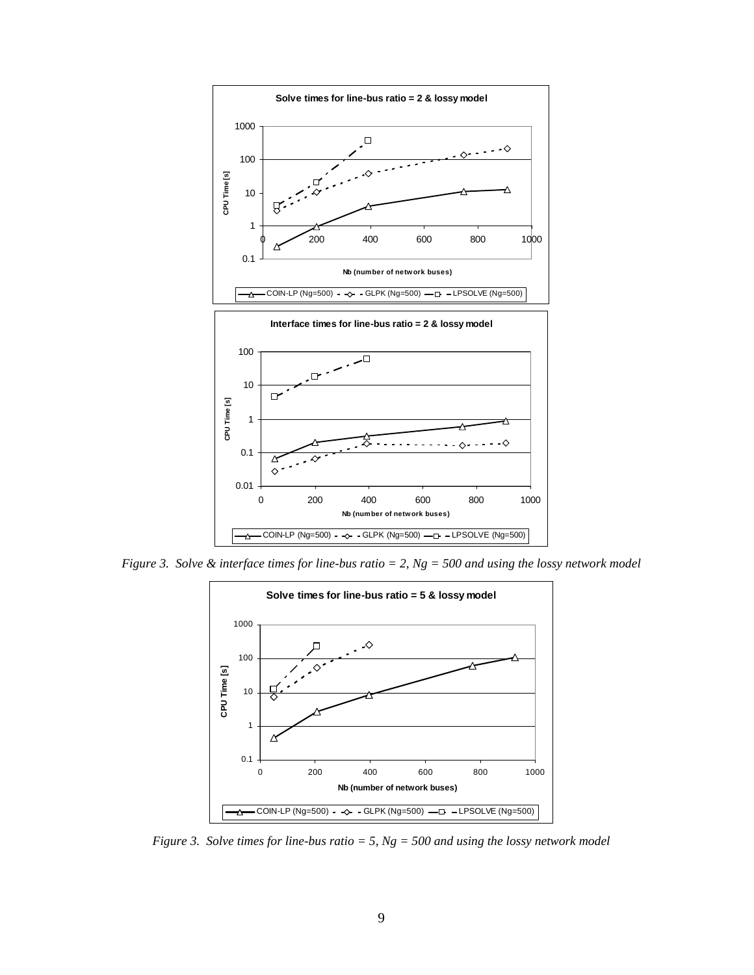

*Figure 3. Solve & interface times for line-bus ratio = 2, Ng = 500 and using the lossy network model* 



*Figure 3. Solve times for line-bus ratio = 5, Ng = 500 and using the lossy network model*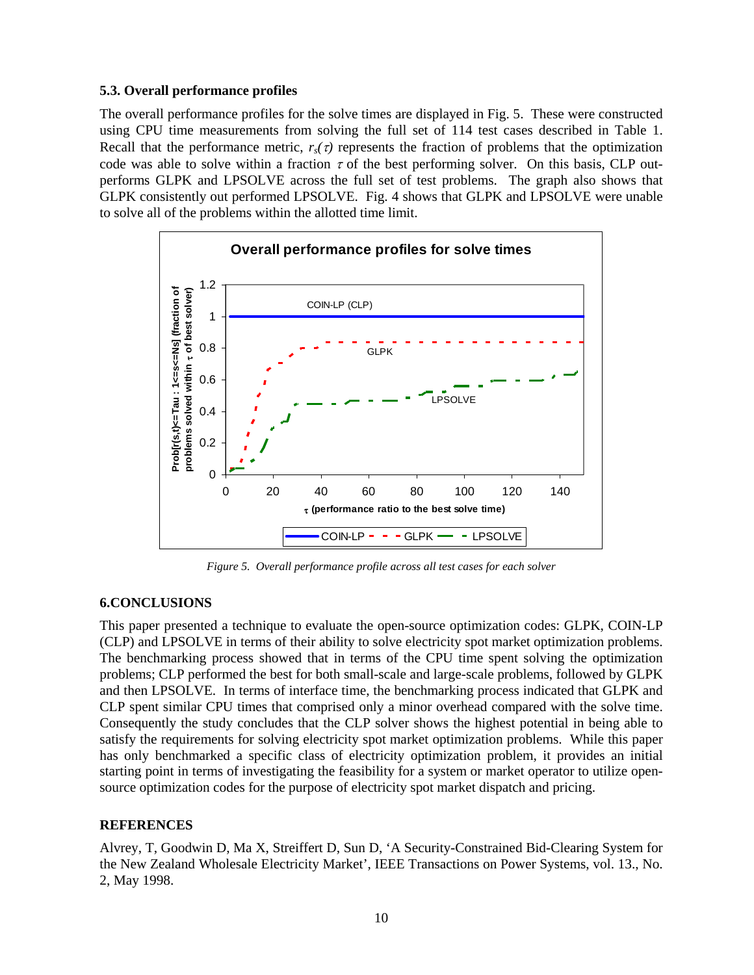### **5.3. Overall performance profiles**

The overall performance profiles for the solve times are displayed in Fig. 5. These were constructed using CPU time measurements from solving the full set of 114 test cases described in Table 1. Recall that the performance metric,  $r_s(\tau)$  represents the fraction of problems that the optimization code was able to solve within a fraction  $\tau$  of the best performing solver. On this basis, CLP outperforms GLPK and LPSOLVE across the full set of test problems. The graph also shows that GLPK consistently out performed LPSOLVE. Fig. 4 shows that GLPK and LPSOLVE were unable to solve all of the problems within the allotted time limit.



*Figure 5. Overall performance profile across all test cases for each solver* 

## **6.CONCLUSIONS**

This paper presented a technique to evaluate the open-source optimization codes: GLPK, COIN-LP (CLP) and LPSOLVE in terms of their ability to solve electricity spot market optimization problems. The benchmarking process showed that in terms of the CPU time spent solving the optimization problems; CLP performed the best for both small-scale and large-scale problems, followed by GLPK and then LPSOLVE. In terms of interface time, the benchmarking process indicated that GLPK and CLP spent similar CPU times that comprised only a minor overhead compared with the solve time. Consequently the study concludes that the CLP solver shows the highest potential in being able to satisfy the requirements for solving electricity spot market optimization problems. While this paper has only benchmarked a specific class of electricity optimization problem, it provides an initial starting point in terms of investigating the feasibility for a system or market operator to utilize opensource optimization codes for the purpose of electricity spot market dispatch and pricing.

### **REFERENCES**

Alvrey, T, Goodwin D, Ma X, Streiffert D, Sun D, 'A Security-Constrained Bid-Clearing System for the New Zealand Wholesale Electricity Market', IEEE Transactions on Power Systems, vol. 13., No. 2, May 1998.